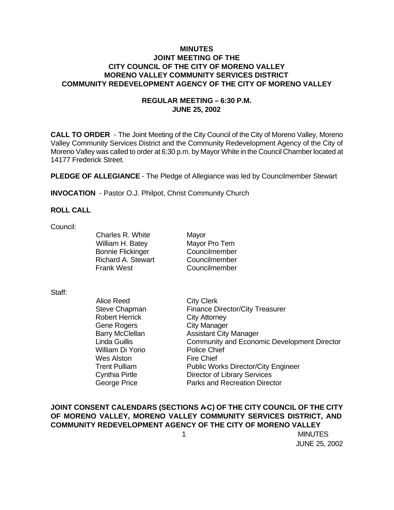## **MINUTES JOINT MEETING OF THE CITY COUNCIL OF THE CITY OF MORENO VALLEY MORENO VALLEY COMMUNITY SERVICES DISTRICT COMMUNITY REDEVELOPMENT AGENCY OF THE CITY OF MORENO VALLEY**

## **REGULAR MEETING – 6:30 P.M. JUNE 25, 2002**

**CALL TO ORDER** - The Joint Meeting of the City Council of the City of Moreno Valley, Moreno Valley Community Services District and the Community Redevelopment Agency of the City of Moreno Valley was called to order at 6:30 p.m. by Mayor White in the Council Chamber located at 14177 Frederick Street.

**PLEDGE OF ALLEGIANCE** - The Pledge of Allegiance was led by Councilmember Stewart

**INVOCATION** - Pastor O.J. Philpot, Christ Community Church

### **ROLL CALL**

Council:

Charles R. White Mayor William H. Batey Mayor Pro Tem Bonnie Flickinger Councilmember Richard A. Stewart Councilmember Frank West Councilmember

#### Staff:

Alice Reed City Clerk Robert Herrick City Attorney Gene Rogers **City Manager** William Di Yorio Police Chief Wes Alston Fire Chief

Steve Chapman Finance Director/City Treasurer Barry McClellan **Assistant City Manager** Linda Guillis Community and Economic Development Director Trent Pulliam Public Works Director/City Engineer Cynthia Pirtle Director of Library Services George Price **Parks** and Recreation Director

## JOINT CONSENT CALENDARS (SECTIONS A-C) OF THE CITY COUNCIL OF THE CITY **OF MORENO VALLEY, MORENO VALLEY COMMUNITY SERVICES DISTRICT, AND COMMUNITY REDEVELOPMENT AGENCY OF THE CITY OF MORENO VALLEY**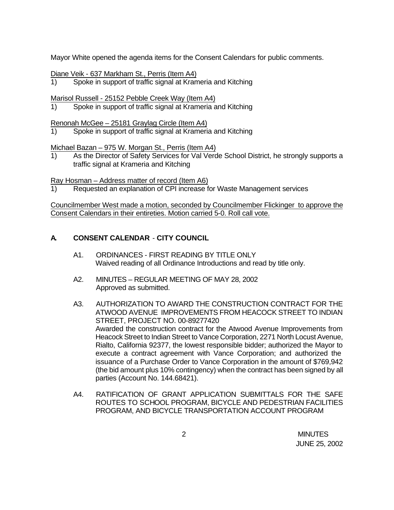Mayor White opened the agenda items for the Consent Calendars for public comments.

Diane Veik - 637 Markham St., Perris (Item A4)

1) Spoke in support of traffic signal at Krameria and Kitching

Marisol Russell - 25152 Pebble Creek Way (Item A4)

Spoke in support of traffic signal at Krameria and Kitching

### Renonah McGee – 25181 Graylag Circle (Item A4)

1) Spoke in support of traffic signal at Krameria and Kitching

Michael Bazan – 975 W. Morgan St., Perris (Item A4)

1) As the Director of Safety Services for Val Verde School District, he strongly supports a traffic signal at Krameria and Kitching

Ray Hosman – Address matter of record (Item A6)

1) Requested an explanation of CPI increase for Waste Management services

Councilmember West made a motion, seconded by Councilmember Flickinger to approve the Consent Calendars in their entireties. Motion carried 5-0. Roll call vote.

## **A. CONSENT CALENDAR** - **CITY COUNCIL**

- A1. ORDINANCES FIRST READING BY TITLE ONLY Waived reading of all Ordinance Introductions and read by title only.
- A2. MINUTES REGULAR MEETING OF MAY 28, 2002 Approved as submitted.
- A3. AUTHORIZATION TO AWARD THE CONSTRUCTION CONTRACT FOR THE ATWOOD AVENUE IMPROVEMENTS FROM HEACOCK STREET TO INDIAN STREET, PROJECT NO. 00-89277420 Awarded the construction contract for the Atwood Avenue Improvements from Heacock Street to Indian Street to Vance Corporation, 2271 North Locust Avenue, Rialto, California 92377, the lowest responsible bidder; authorized the Mayor to execute a contract agreement with Vance Corporation; and authorized the issuance of a Purchase Order to Vance Corporation in the amount of \$769,942 (the bid amount plus 10% contingency) when the contract has been signed by all parties (Account No. 144.68421).
- A4. RATIFICATION OF GRANT APPLICATION SUBMITTALS FOR THE SAFE ROUTES TO SCHOOL PROGRAM, BICYCLE AND PEDESTRIAN FACILITIES PROGRAM, AND BICYCLE TRANSPORTATION ACCOUNT PROGRAM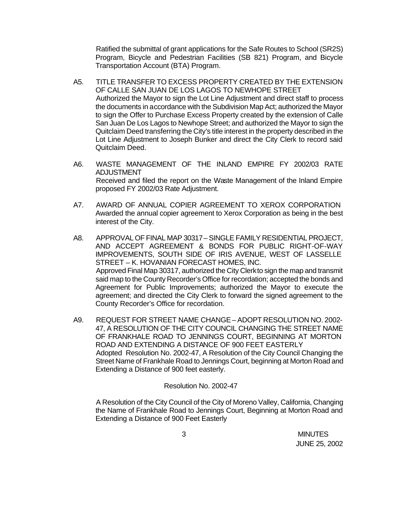Ratified the submittal of grant applications for the Safe Routes to School (SR2S) Program, Bicycle and Pedestrian Facilities (SB 821) Program, and Bicycle Transportation Account (BTA) Program.

- A5. TITLE TRANSFER TO EXCESS PROPERTY CREATED BY THE EXTENSION OF CALLE SAN JUAN DE LOS LAGOS TO NEWHOPE STREET Authorized the Mayor to sign the Lot Line Adjustment and direct staff to process the documents in accordance with the Subdivision Map Act; authorized the Mayor to sign the Offer to Purchase Excess Property created by the extension of Calle San Juan De Los Lagos to Newhope Street; and authorized the Mayor to sign the Quitclaim Deed transferring the City's title interest in the property described in the Lot Line Adjustment to Joseph Bunker and direct the City Clerk to record said Quitclaim Deed.
- A6. WASTE MANAGEMENT OF THE INLAND EMPIRE FY 2002/03 RATE ADJUSTMENT Received and filed the report on the Waste Management of the Inland Empire proposed FY 2002/03 Rate Adjustment.
- A7. AWARD OF ANNUAL COPIER AGREEMENT TO XEROX CORPORATION Awarded the annual copier agreement to Xerox Corporation as being in the best interest of the City.
- A8. APPROVAL OF FINAL MAP 30317 SINGLE FAMILY RESIDENTIAL PROJECT, AND ACCEPT AGREEMENT & BONDS FOR PUBLIC RIGHT-OF-WAY IMPROVEMENTS, SOUTH SIDE OF IRIS AVENUE, WEST OF LASSELLE STREET – K. HOVANIAN FORECAST HOMES, INC. Approved Final Map 30317, authorized the City Clerk to sign the map and transmit said map to the County Recorder's Office for recordation; accepted the bonds and Agreement for Public Improvements; authorized the Mayor to execute the agreement; and directed the City Clerk to forward the signed agreement to the County Recorder's Office for recordation.
- A9. REQUEST FOR STREET NAME CHANGE ADOPT RESOLUTION NO. 2002- 47, A RESOLUTION OF THE CITY COUNCIL CHANGING THE STREET NAME OF FRANKHALE ROAD TO JENNINGS COURT, BEGINNING AT MORTON ROAD AND EXTENDING A DISTANCE OF 900 FEET EASTERLY Adopted Resolution No. 2002-47, A Resolution of the City Council Changing the Street Name of Frankhale Road to Jennings Court, beginning at Morton Road and Extending a Distance of 900 feet easterly.

#### Resolution No. 2002-47

A Resolution of the City Council of the City of Moreno Valley, California, Changing the Name of Frankhale Road to Jennings Court, Beginning at Morton Road and Extending a Distance of 900 Feet Easterly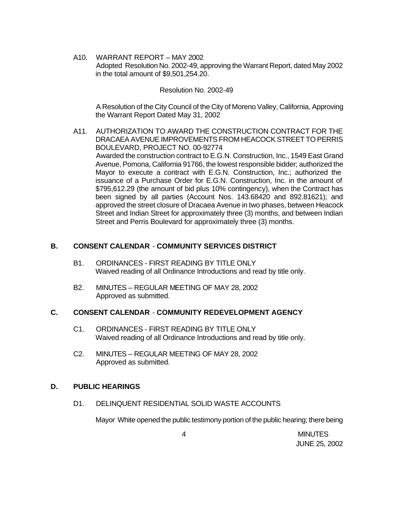A10. WARRANT REPORT – MAY 2002 Adopted Resolution No. 2002-49, approving the Warrant Report, dated May 2002 in the total amount of \$9,501,254.20.

### Resolution No. 2002-49

A Resolution of the City Council of the City of Moreno Valley, California, Approving the Warrant Report Dated May 31, 2002

A11. AUTHORIZATION TO AWARD THE CONSTRUCTION CONTRACT FOR THE DRACAEA AVENUE IMPROVEMENTS FROM HEACOCK STREET TO PERRIS BOULEVARD, PROJECT NO. 00-92774 Awarded the construction contract to E.G.N. Construction, Inc., 1549 East Grand Avenue, Pomona, California 91766, the lowest responsible bidder; authorized the Mayor to execute a contract with E.G.N. Construction, Inc.; authorized the issuance of a Purchase Order for E.G.N. Construction, Inc. in the amount of \$795,612.29 (the amount of bid plus 10% contingency), when the Contract has been signed by all parties (Account Nos. 143.68420 and 892.81621); and approved the street closure of Dracaea Avenue in two phases, between Heacock Street and Indian Street for approximately three (3) months, and between Indian Street and Perris Boulevard for approximately three (3) months.

# **B. CONSENT CALENDAR** - **COMMUNITY SERVICES DISTRICT**

- B1. ORDINANCES FIRST READING BY TITLE ONLY Waived reading of all Ordinance Introductions and read by title only.
- B2. MINUTES REGULAR MEETING OF MAY 28, 2002 Approved as submitted.

## **C. CONSENT CALENDAR** - **COMMUNITY REDEVELOPMENT AGENCY**

- C1. ORDINANCES FIRST READING BY TITLE ONLY Waived reading of all Ordinance Introductions and read by title only.
- C2. MINUTES REGULAR MEETING OF MAY 28, 2002 Approved as submitted.

### **D. PUBLIC HEARINGS**

D1. DELINQUENT RESIDENTIAL SOLID WASTE ACCOUNTS

Mayor White opened the public testimony portion of the public hearing; there being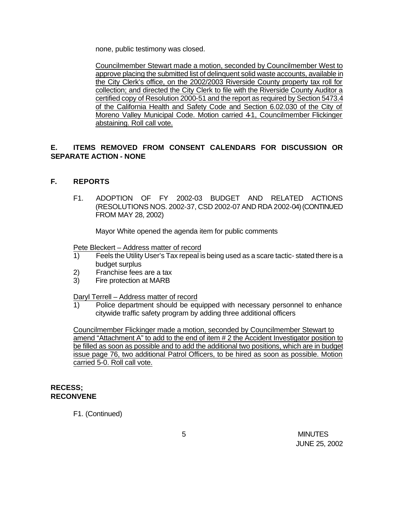none, public testimony was closed.

Councilmember Stewart made a motion, seconded by Councilmember West to approve placing the submitted list of delinquent solid waste accounts, available in the City Clerk's office, on the 2002/2003 Riverside County property tax roll for collection; and directed the City Clerk to file with the Riverside County Auditor a certified copy of Resolution 2000-51 and the report as required by Section 5473.4 of the California Health and Safety Code and Section 6.02.030 of the City of Moreno Valley Municipal Code. Motion carried 4-1, Councilmember Flickinger abstaining. Roll call vote.

# **E. ITEMS REMOVED FROM CONSENT CALENDARS FOR DISCUSSION OR SEPARATE ACTION - NONE**

# **F. REPORTS**

F1. ADOPTION OF FY 2002-03 BUDGET AND RELATED ACTIONS (RESOLUTIONS NOS. 2002-37, CSD 2002-07 AND RDA 2002-04) (CONTINUED FROM MAY 28, 2002)

Mayor White opened the agenda item for public comments

Pete Bleckert – Address matter of record

- 1) Feels the Utility User's Tax repeal is being used as a scare tactic- stated there is a budget surplus
- 2) Franchise fees are a tax
- 3) Fire protection at MARB

Daryl Terrell – Address matter of record

1) Police department should be equipped with necessary personnel to enhance citywide traffic safety program by adding three additional officers

Councilmember Flickinger made a motion, seconded by Councilmember Stewart to amend "Attachment A" to add to the end of item # 2 the Accident Investigator position to be filled as soon as possible and to add the additional two positions, which are in budget issue page 76, two additional Patrol Officers, to be hired as soon as possible. Motion carried 5-0. Roll call vote.

## **RECESS; RECONVENE**

F1. (Continued)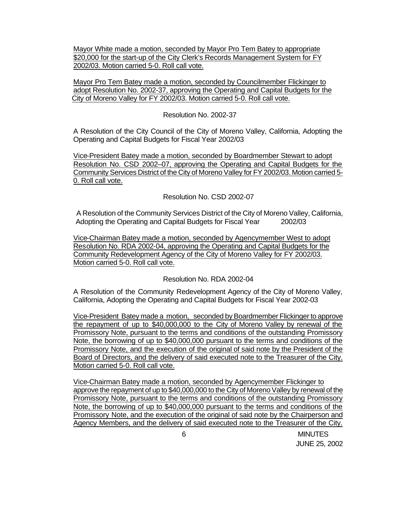Mayor White made a motion, seconded by Mayor Pro Tem Batey to appropriate \$20,000 for the start-up of the City Clerk's Records Management System for FY 2002/03. Motion carried 5-0. Roll call vote.

Mayor Pro Tem Batey made a motion, seconded by Councilmember Flickinger to adopt Resolution No. 2002-37, approving the Operating and Capital Budgets for the City of Moreno Valley for FY 2002/03. Motion carried 5-0. Roll call vote.

### Resolution No. 2002-37

A Resolution of the City Council of the City of Moreno Valley, California, Adopting the Operating and Capital Budgets for Fiscal Year 2002/03

Vice-President Batey made a motion, seconded by Boardmember Stewart to adopt Resolution No. CSD 2002–07, approving the Operating and Capital Budgets for the Community Services District of the City of Moreno Valley for FY 2002/03. Motion carried 5- 0. Roll call vote.

Resolution No. CSD 2002-07

 A Resolution of the Community Services District of the City of Moreno Valley, California, Adopting the Operating and Capital Budgets for Fiscal Year 2002/03

Vice-Chairman Batey made a motion, seconded by Agencymember West to adopt Resolution No. RDA 2002-04, approving the Operating and Capital Budgets for the Community Redevelopment Agency of the City of Moreno Valley for FY 2002/03. Motion carried 5-0. Roll call vote.

Resolution No. RDA 2002-04

A Resolution of the Community Redevelopment Agency of the City of Moreno Valley, California, Adopting the Operating and Capital Budgets for Fiscal Year 2002-03

Vice-President Batey made a motion, seconded by Boardmember Flickinger to approve the repayment of up to \$40,000,000 to the City of Moreno Valley by renewal of the Promissory Note, pursuant to the terms and conditions of the outstanding Promissory Note, the borrowing of up to \$40,000,000 pursuant to the terms and conditions of the Promissory Note, and the execution of the original of said note by the President of the Board of Directors, and the delivery of said executed note to the Treasurer of the City. Motion carried 5-0. Roll call vote.

Vice-Chairman Batey made a motion, seconded by Agencymember Flickinger to approve the repayment of up to \$40,000,000 to the City of Moreno Valley by renewal of the Promissory Note, pursuant to the terms and conditions of the outstanding Promissory Note, the borrowing of up to \$40,000,000 pursuant to the terms and conditions of the Promissory Note, and the execution of the original of said note by the Chairperson and Agency Members, and the delivery of said executed note to the Treasurer of the City.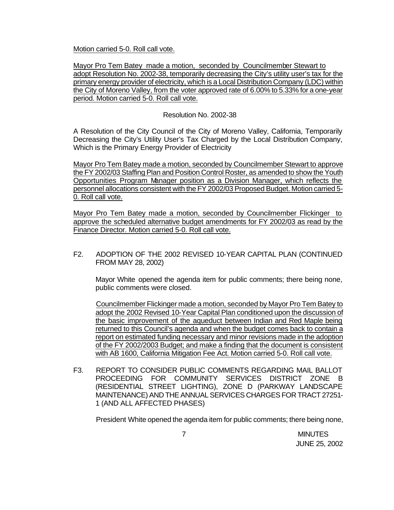Motion carried 5-0. Roll call vote.

Mayor Pro Tem Batey made a motion, seconded by Councilmember Stewart to adopt Resolution No. 2002-38, temporarily decreasing the City's utility user's tax for the primary energy provider of electricity, which is a Local Distribution Company (LDC) within the City of Moreno Valley, from the voter approved rate of 6.00% to 5.33% for a one-year period. Motion carried 5-0. Roll call vote.

## Resolution No. 2002-38

A Resolution of the City Council of the City of Moreno Valley, California, Temporarily Decreasing the City's Utility User's Tax Charged by the Local Distribution Company, Which is the Primary Energy Provider of Electricity

Mayor Pro Tem Batey made a motion, seconded by Councilmember Stewart to approve the FY 2002/03 Staffing Plan and Position Control Roster, as amended to show the Youth Opportunities Program Manager position as a Division Manager, which reflects the personnel allocations consistent with the FY 2002/03 Proposed Budget. Motion carried 5- 0. Roll call vote.

Mayor Pro Tem Batey made a motion, seconded by Councilmember Flickinger to approve the scheduled alternative budget amendments for FY 2002/03 as read by the Finance Director. Motion carried 5-0. Roll call vote.

F2. ADOPTION OF THE 2002 REVISED 10-YEAR CAPITAL PLAN (CONTINUED FROM MAY 28, 2002)

Mayor White opened the agenda item for public comments; there being none, public comments were closed.

Councilmember Flickinger made a motion, seconded by Mayor Pro Tem Batey to adopt the 2002 Revised 10-Year Capital Plan conditioned upon the discussion of the basic improvement of the aqueduct between Indian and Red Maple being returned to this Council's agenda and when the budget comes back to contain a report on estimated funding necessary and minor revisions made in the adoption of the FY 2002/2003 Budget; and make a finding that the document is consistent with AB 1600, California Mitigation Fee Act. Motion carried 5-0. Roll call vote.

F3. REPORT TO CONSIDER PUBLIC COMMENTS REGARDING MAIL BALLOT PROCEEDING FOR COMMUNITY SERVICES DISTRICT ZONE B (RESIDENTIAL STREET LIGHTING), ZONE D (PARKWAY LANDSCAPE MAINTENANCE) AND THE ANNUAL SERVICES CHARGES FOR TRACT 27251- 1 (AND ALL AFFECTED PHASES)

President White opened the agenda item for public comments; there being none,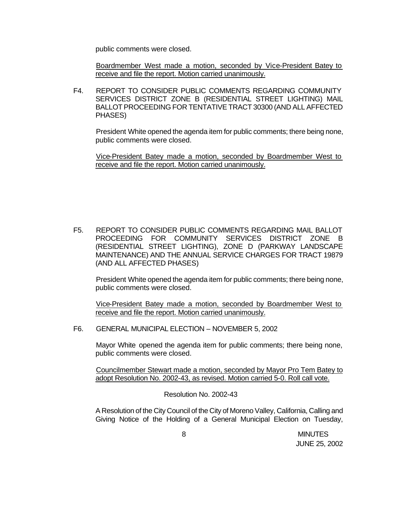public comments were closed.

Boardmember West made a motion, seconded by Vice-President Batey to receive and file the report. Motion carried unanimously.

F4. REPORT TO CONSIDER PUBLIC COMMENTS REGARDING COMMUNITY SERVICES DISTRICT ZONE B (RESIDENTIAL STREET LIGHTING) MAIL BALLOT PROCEEDING FOR TENTATIVE TRACT 30300 (AND ALL AFFECTED PHASES)

President White opened the agenda item for public comments; there being none, public comments were closed.

Vice-President Batey made a motion, seconded by Boardmember West to receive and file the report. Motion carried unanimously.

F5. REPORT TO CONSIDER PUBLIC COMMENTS REGARDING MAIL BALLOT PROCEEDING FOR COMMUNITY SERVICES DISTRICT ZONE B (RESIDENTIAL STREET LIGHTING), ZONE D (PARKWAY LANDSCAPE MAINTENANCE) AND THE ANNUAL SERVICE CHARGES FOR TRACT 19879 (AND ALL AFFECTED PHASES)

President White opened the agenda item for public comments; there being none, public comments were closed.

Vice-President Batey made a motion, seconded by Boardmember West to receive and file the report. Motion carried unanimously.

F6. GENERAL MUNICIPAL ELECTION – NOVEMBER 5, 2002

Mayor White opened the agenda item for public comments; there being none, public comments were closed.

Councilmember Stewart made a motion, seconded by Mayor Pro Tem Batey to adopt Resolution No. 2002-43, as revised. Motion carried 5-0. Roll call vote.

Resolution No. 2002-43

A Resolution of the City Council of the City of Moreno Valley, California, Calling and Giving Notice of the Holding of a General Municipal Election on Tuesday,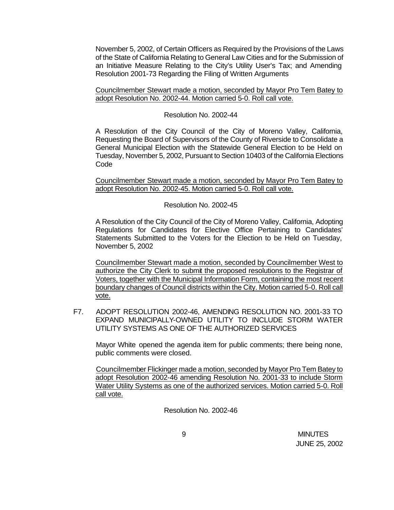November 5, 2002, of Certain Officers as Required by the Provisions of the Laws of the State of California Relating to General Law Cities and for the Submission of an Initiative Measure Relating to the City's Utility User's Tax; and Amending Resolution 2001-73 Regarding the Filing of Written Arguments

Councilmember Stewart made a motion, seconded by Mayor Pro Tem Batey to adopt Resolution No. 2002-44. Motion carried 5-0. Roll call vote.

#### Resolution No. 2002-44

A Resolution of the City Council of the City of Moreno Valley, California, Requesting the Board of Supervisors of the County of Riverside to Consolidate a General Municipal Election with the Statewide General Election to be Held on Tuesday, November 5, 2002, Pursuant to Section 10403 of the California Elections Code

Councilmember Stewart made a motion, seconded by Mayor Pro Tem Batey to adopt Resolution No. 2002-45. Motion carried 5-0. Roll call vote.

### Resolution No. 2002-45

A Resolution of the City Council of the City of Moreno Valley, California, Adopting Regulations for Candidates for Elective Office Pertaining to Candidates' Statements Submitted to the Voters for the Election to be Held on Tuesday, November 5, 2002

Councilmember Stewart made a motion, seconded by Councilmember West to authorize the City Clerk to submit the proposed resolutions to the Registrar of Voters, together with the Municipal Information Form, containing the most recent boundary changes of Council districts within the City. Motion carried 5-0. Roll call vote.

F7. ADOPT RESOLUTION 2002-46, AMENDING RESOLUTION NO. 2001-33 TO EXPAND MUNICIPALLY-OWNED UTILITY TO INCLUDE STORM WATER UTILITY SYSTEMS AS ONE OF THE AUTHORIZED SERVICES

Mayor White opened the agenda item for public comments; there being none, public comments were closed.

Councilmember Flickinger made a motion, seconded by Mayor Pro Tem Batey to adopt Resolution 2002-46 amending Resolution No. 2001-33 to include Storm Water Utility Systems as one of the authorized services. Motion carried 5-0. Roll call vote.

Resolution No. 2002-46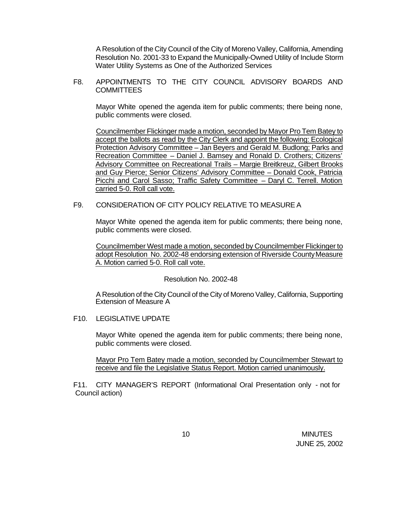A Resolution of the City Council of the City of Moreno Valley, California, Amending Resolution No. 2001-33 to Expand the Municipally-Owned Utility of Include Storm Water Utility Systems as One of the Authorized Services

F8. APPOINTMENTS TO THE CITY COUNCIL ADVISORY BOARDS AND COMMITTEES

Mayor White opened the agenda item for public comments; there being none, public comments were closed.

Councilmember Flickinger made a motion, seconded by Mayor Pro Tem Batey to accept the ballots as read by the City Clerk and appoint the following: Ecological Protection Advisory Committee – Jan Beyers and Gerald M. Budlong; Parks and Recreation Committee – Daniel J. Bamsey and Ronald D. Crothers; Citizens' Advisory Committee on Recreational Trails – Margie Breitkreuz, Gilbert Brooks and Guy Pierce; Senior Citizens' Advisory Committee – Donald Cook, Patricia Picchi and Carol Sasso; Traffic Safety Committee – Daryl C. Terrell. Motion carried 5-0. Roll call vote.

#### F9. CONSIDERATION OF CITY POLICY RELATIVE TO MEASURE A

Mayor White opened the agenda item for public comments; there being none, public comments were closed.

Councilmember West made a motion, seconded by Councilmember Flickinger to adopt Resolution No. 2002-48 endorsing extension of Riverside County Measure A. Motion carried 5-0. Roll call vote.

#### Resolution No. 2002-48

A Resolution of the City Council of the City of Moreno Valley, California, Supporting Extension of Measure A

### F10. LEGISLATIVE UPDATE

Mayor White opened the agenda item for public comments; there being none, public comments were closed.

Mayor Pro Tem Batey made a motion, seconded by Councilmember Stewart to receive and file the Legislative Status Report. Motion carried unanimously.

F11. CITY MANAGER'S REPORT (Informational Oral Presentation only - not for Council action)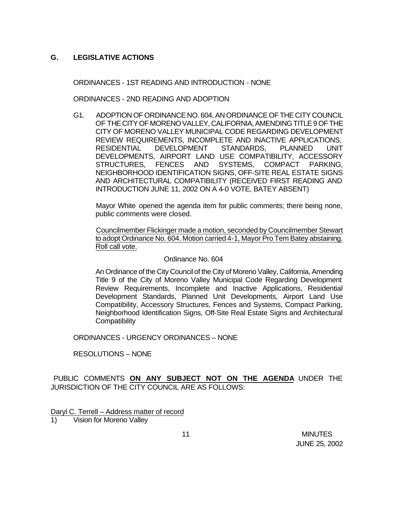# **G. LEGISLATIVE ACTIONS**

ORDINANCES - 1ST READING AND INTRODUCTION - NONE

ORDINANCES - 2ND READING AND ADOPTION

G1. ADOPTION OF ORDINANCE NO. 604, AN ORDINANCE OF THE CITY COUNCIL OF THE CITY OF MORENO VALLEY, CALIFORNIA, AMENDING TITLE 9 OF THE CITY OF MORENO VALLEY MUNICIPAL CODE REGARDING DEVELOPMENT REVIEW REQUIREMENTS, INCOMPLETE AND INACTIVE APPLICATIONS, RESIDENTIAL DEVELOPMENT STANDARDS, PLANNED UNIT DEVELOPMENTS, AIRPORT LAND USE COMPATIBILITY, ACCESSORY STRUCTURES, FENCES AND SYSTEMS, COMPACT PARKING, NEIGHBORHOOD IDENTIFICATION SIGNS, OFF-SITE REAL ESTATE SIGNS AND ARCHITECTURAL COMPATIBILITY (RECEIVED FIRST READING AND INTRODUCTION JUNE 11, 2002 ON A 4-0 VOTE, BATEY ABSENT)

Mayor White opened the agenda item for public comments; there being none, public comments were closed.

Councilmember Flickinger made a motion, seconded by Councilmember Stewart to adopt Ordinance No. 604. Motion carried 4-1, Mayor Pro Tem Batey abstaining. Roll call vote.

#### Ordinance No. 604

An Ordinance of the City Council of the City of Moreno Valley, California, Amending Title 9 of the City of Moreno Valley Municipal Code Regarding Development Review Requirements, Incomplete and Inactive Applications, Residential Development Standards, Planned Unit Developments, Airport Land Use Compatibility, Accessory Structures, Fences and Systems, Compact Parking, Neighborhood Identification Signs, Off-Site Real Estate Signs and Architectural **Compatibility** 

ORDINANCES - URGENCY ORDINANCES – NONE

RESOLUTIONS – NONE

PUBLIC COMMENTS **ON ANY SUBJECT NOT ON THE AGENDA** UNDER THE JURISDICTION OF THE CITY COUNCIL ARE AS FOLLOWS:

Daryl C. Terrell – Address matter of record

1) Vision for Moreno Valley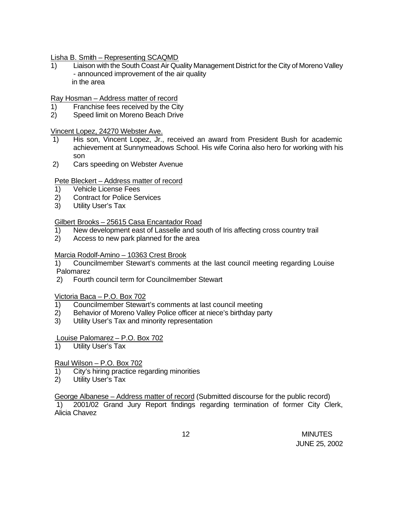Lisha B. Smith – Representing SCAQMD

1) Liaison with the South Coast Air Quality Management District for the City of Moreno Valley - announced improvement of the air quality in the area

Ray Hosman – Address matter of record

- 1) Franchise fees received by the City
- 2) Speed limit on Moreno Beach Drive

### Vincent Lopez, 24270 Webster Ave.

- 1) His son, Vincent Lopez, Jr., received an award from President Bush for academic achievement at Sunnymeadows School. His wife Corina also hero for working with his son
- 2) Cars speeding on Webster Avenue

# Pete Bleckert – Address matter of record

- 1) Vehicle License Fees
- 2) Contract for Police Services
- 3) Utility User's Tax

# Gilbert Brooks – 25615 Casa Encantador Road

- 1) New development east of Lasselle and south of Iris affecting cross country trail
- 2) Access to new park planned for the area

## Marcia Rodolf-Amino – 10363 Crest Brook

1) Councilmember Stewart's comments at the last council meeting regarding Louise Palomarez

2) Fourth council term for Councilmember Stewart

## Victoria Baca – P.O. Box 702

- 1) Councilmember Stewart's comments at last council meeting
- 2) Behavior of Moreno Valley Police officer at niece's birthday party
- 3) Utility User's Tax and minority representation

# Louise Palomarez – P.O. Box 702

1) Utility User's Tax

# Raul Wilson – P.O. Box 702

- 1) City's hiring practice regarding minorities
- 2) Utility User's Tax

George Albanese – Address matter of record (Submitted discourse for the public record) 1) 2001/02 Grand Jury Report findings regarding termination of former City Clerk, Alicia Chavez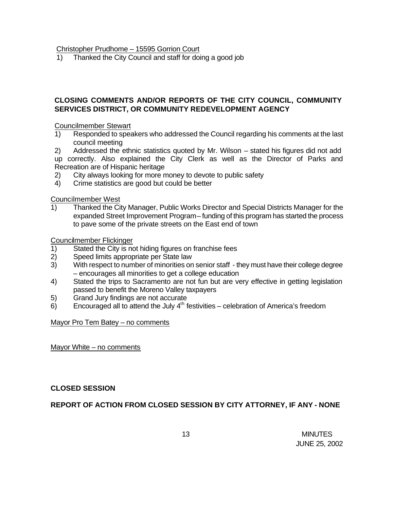Christopher Prudhome – 15595 Gorrion Court

1) Thanked the City Council and staff for doing a good job

## **CLOSING COMMENTS AND/OR REPORTS OF THE CITY COUNCIL, COMMUNITY SERVICES DISTRICT, OR COMMUNITY REDEVELOPMENT AGENCY**

Councilmember Stewart

1) Responded to speakers who addressed the Council regarding his comments at the last council meeting

2) Addressed the ethnic statistics quoted by Mr. Wilson – stated his figures did not add up correctly. Also explained the City Clerk as well as the Director of Parks and Recreation are of Hispanic heritage

- 2) City always looking for more money to devote to public safety
- 4) Crime statistics are good but could be better

Councilmember West

1) Thanked the City Manager, Public Works Director and Special Districts Manager for the expanded Street Improvement Program – funding of this program has started the process to pave some of the private streets on the East end of town

Councilmember Flickinger

- 1) Stated the City is not hiding figures on franchise fees
- 2) Speed limits appropriate per State law
- 3) With respect to number of minorities on senior staff they must have their college degree – encourages all minorities to get a college education
- 4) Stated the trips to Sacramento are not fun but are very effective in getting legislation passed to benefit the Moreno Valley taxpayers
- 5) Grand Jury findings are not accurate
- 6) Encouraged all to attend the July  $4<sup>th</sup>$  festivities celebration of America's freedom

#### Mayor Pro Tem Batey – no comments

Mayor White – no comments

## **CLOSED SESSION**

## **REPORT OF ACTION FROM CLOSED SESSION BY CITY ATTORNEY, IF ANY - NONE**